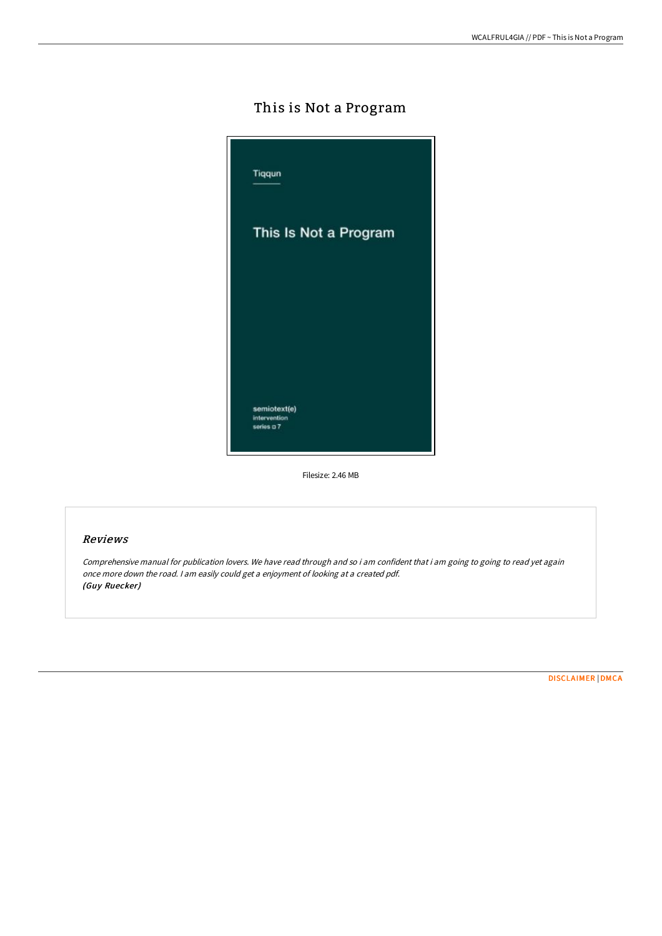# This is Not a Program



Filesize: 2.46 MB

# Reviews

Comprehensive manual for publication lovers. We have read through and so i am confident that i am going to going to read yet again once more down the road. <sup>I</sup> am easily could get <sup>a</sup> enjoyment of looking at <sup>a</sup> created pdf. (Guy Ruecker)

[DISCLAIMER](http://albedo.media/disclaimer.html) | [DMCA](http://albedo.media/dmca.html)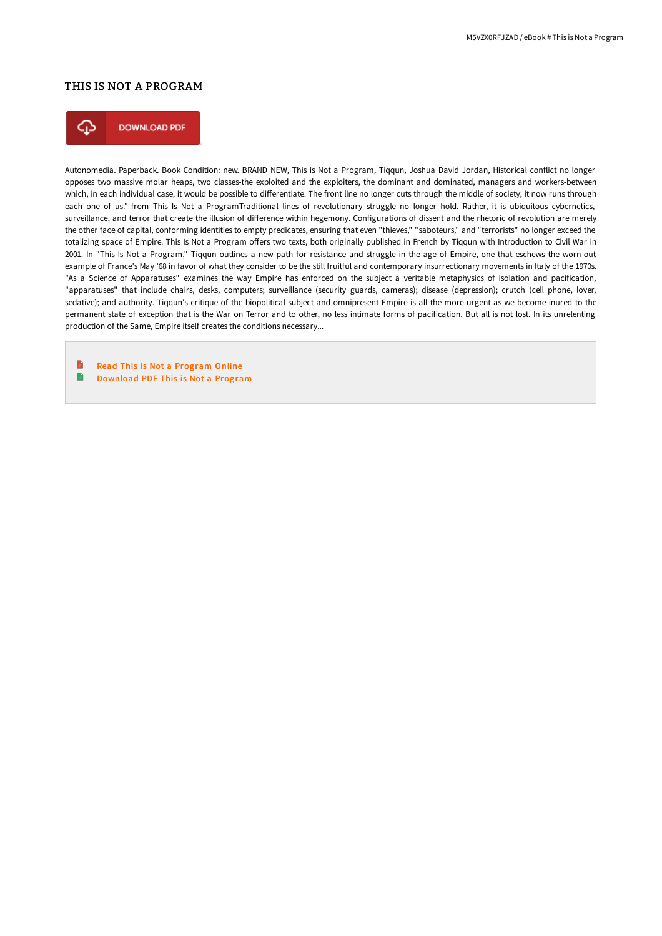## THIS IS NOT A PROGRAM



**DOWNLOAD PDF** 

Autonomedia. Paperback. Book Condition: new. BRAND NEW, This is Not a Program, Tiqqun, Joshua David Jordan, Historical conflict no longer opposes two massive molar heaps, two classes-the exploited and the exploiters, the dominant and dominated, managers and workers-between which, in each individual case, it would be possible to differentiate. The front line no longer cuts through the middle of society; it now runs through each one of us."-from This Is Not a ProgramTraditional lines of revolutionary struggle no longer hold. Rather, it is ubiquitous cybernetics, surveillance, and terror that create the illusion of difference within hegemony. Configurations of dissent and the rhetoric of revolution are merely the other face of capital, conforming identities to empty predicates, ensuring that even "thieves," "saboteurs," and "terrorists" no longer exceed the totalizing space of Empire. This Is Not a Program offers two texts, both originally published in French by Tiqqun with Introduction to Civil War in 2001. In "This Is Not a Program," Tiqqun outlines a new path for resistance and struggle in the age of Empire, one that eschews the worn-out example of France's May '68 in favor of what they consider to be the still fruitful and contemporary insurrectionary movements in Italy of the 1970s. "As a Science of Apparatuses" examines the way Empire has enforced on the subject a veritable metaphysics of isolation and pacification, "apparatuses" that include chairs, desks, computers; surveillance (security guards, cameras); disease (depression); crutch (cell phone, lover, sedative); and authority. Tiqqun's critique of the biopolitical subject and omnipresent Empire is all the more urgent as we become inured to the permanent state of exception that is the War on Terror and to other, no less intimate forms of pacification. But all is not lost. In its unrelenting production of the Same, Empire itself creates the conditions necessary...

B Read This is Not a [Program](http://albedo.media/this-is-not-a-program.html) Online B [Download](http://albedo.media/this-is-not-a-program.html) PDF This is Not a Program